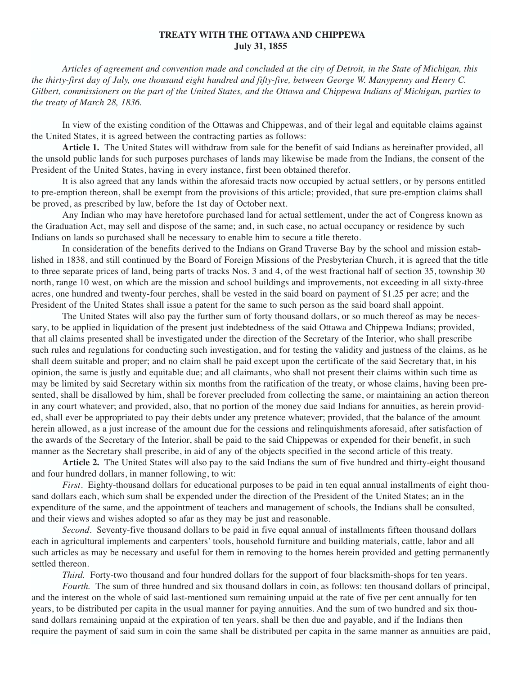## **TREATY WITH THE OTTAWA AND CHIPPEWA July 31, 1855**

*Articles of agreement and convention made and concluded at the city of Detroit, in the State of Michigan, this the thirty-first day of July, one thousand eight hundred and fifty-five, between George W. Manypenny and Henry C. Gilbert, commissioners on the part of the United States, and the Ottawa and Chippewa Indians of Michigan, parties to the treaty of March 28, 1836.*

In view of the existing condition of the Ottawas and Chippewas, and of their legal and equitable claims against the United States, it is agreed between the contracting parties as follows:

**Article 1.** The United States will withdraw from sale for the benefit of said Indians as hereinafter provided, all the unsold public lands for such purposes purchases of lands may likewise be made from the Indians, the consent of the President of the United States, having in every instance, first been obtained therefor.

It is also agreed that any lands within the aforesaid tracts now occupied by actual settlers, or by persons entitled to pre-emption thereon, shall be exempt from the provisions of this article; provided, that sure pre-emption claims shall be proved, as prescribed by law, before the 1st day of October next.

Any Indian who may have heretofore purchased land for actual settlement, under the act of Congress known as the Graduation Act, may sell and dispose of the same; and, in such case, no actual occupancy or residence by such Indians on lands so purchased shall be necessary to enable him to secure a title thereto.

In consideration of the benefits derived to the Indians on Grand Traverse Bay by the school and mission established in 1838, and still continued by the Board of Foreign Missions of the Presbyterian Church, it is agreed that the title to three separate prices of land, being parts of tracks Nos. 3 and 4, of the west fractional half of section 35, township 30 north, range 10 west, on which are the mission and school buildings and improvements, not exceeding in all sixty-three acres, one hundred and twenty-four perches, shall be vested in the said board on payment of \$1.25 per acre; and the President of the United States shall issue a patent for the same to such person as the said board shall appoint.

The United States will also pay the further sum of forty thousand dollars, or so much thereof as may be necessary, to be applied in liquidation of the present just indebtedness of the said Ottawa and Chippewa Indians; provided, that all claims presented shall be investigated under the direction of the Secretary of the Interior, who shall prescribe such rules and regulations for conducting such investigation, and for testing the validity and justness of the claims, as he shall deem suitable and proper; and no claim shall be paid except upon the certificate of the said Secretary that, in his opinion, the same is justly and equitable due; and all claimants, who shall not present their claims within such time as may be limited by said Secretary within six months from the ratification of the treaty, or whose claims, having been presented, shall be disallowed by him, shall be forever precluded from collecting the same, or maintaining an action thereon in any court whatever; and provided, also, that no portion of the money due said Indians for annuities, as herein provided, shall ever be appropriated to pay their debts under any pretence whatever; provided, that the balance of the amount herein allowed, as a just increase of the amount due for the cessions and relinquishments aforesaid, after satisfaction of the awards of the Secretary of the Interior, shall be paid to the said Chippewas or expended for their benefit, in such manner as the Secretary shall prescribe, in aid of any of the objects specified in the second article of this treaty.

**Article 2.** The United States will also pay to the said Indians the sum of five hundred and thirty-eight thousand and four hundred dollars, in manner following, to wit:

*First*. Eighty-thousand dollars for educational purposes to be paid in ten equal annual installments of eight thousand dollars each, which sum shall be expended under the direction of the President of the United States; an in the expenditure of the same, and the appointment of teachers and management of schools, the Indians shall be consulted, and their views and wishes adopted so afar as they may be just and reasonable.

*Second*. Seventy-five thousand dollars to be paid in five equal annual of installments fifteen thousand dollars each in agricultural implements and carpenters' tools, household furniture and building materials, cattle, labor and all such articles as may be necessary and useful for them in removing to the homes herein provided and getting permanently settled thereon.

*Third.* Forty-two thousand and four hundred dollars for the support of four blacksmith-shops for ten years.

*Fourth.* The sum of three hundred and six thousand dollars in coin, as follows: ten thousand dollars of principal, and the interest on the whole of said last-mentioned sum remaining unpaid at the rate of five per cent annually for ten years, to be distributed per capita in the usual manner for paying annuities. And the sum of two hundred and six thousand dollars remaining unpaid at the expiration of ten years, shall be then due and payable, and if the Indians then require the payment of said sum in coin the same shall be distributed per capita in the same manner as annuities are paid,